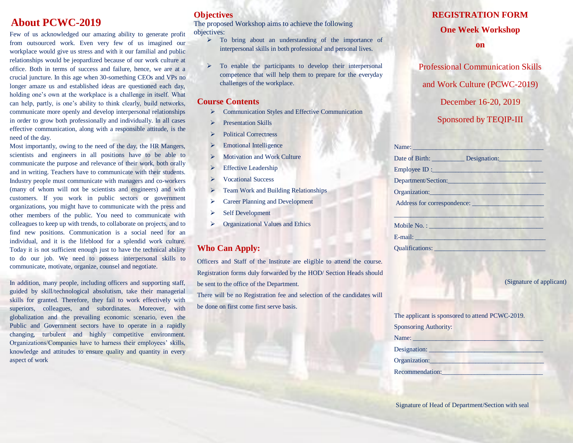# **About PCWC-2019**

Few of us acknowledged our amazing ability to generate profit from outsourced work. Even very few of us imagined our workplace would give us stress and with it our familial and public relationships would be jeopardized because of our work culture at office. Both in terms of success and failure, hence, we are at a crucial juncture. In this age when 30-something CEOs and VPs no longer amaze us and established ideas are questioned each day, holding one's own at the workplace is a challenge in itself. What can help, partly, is one's ability to think clearly, build networks, communicate more openly and develop interpersonal relationships in order to grow both professionally and individually. In all cases effective communication, along with a responsible attitude, is the need of the day.

Most importantly, owing to the need of the day, the HR Mangers, scientists and engineers in all positions have to be able to communicate the purpose and relevance of their work, both orally and in writing. Teachers have to communicate with their students. Industry people must communicate with managers and co-workers (many of whom will not be scientists and engineers) and with customers. If you work in public sectors or government organizations, you might have to communicate with the press and other members of the public. You need to communicate with colleagues to keep up with trends, to collaborate on projects, and to find new positions. Communication is a social need for an individual, and it is the lifeblood for a splendid work culture. Today it is not sufficient enough just to have the technical ability to do our job. We need to possess interpersonal skills to communicate, motivate, organize, counsel and negotiate.

In addition, many people, including officers and supporting staff, guided by skill/technological absolutism, take their managerial skills for granted. Therefore, they fail to work effectively with superiors, colleagues, and subordinates. Moreover, with globalization and the prevailing economic scenario, even the Public and Government sectors have to operate in a rapidly changing, turbulent and highly competitive environment. Organizations/Companies have to harness their employees' skills, knowledge and attitudes to ensure quality and quantity in every aspect of work

### **Objectives**

The proposed Workshop aims to achieve the following objectives:

- > To bring about an understanding of the importance of interpersonal skills in both professional and personal lives.
- $\triangleright$  To enable the participants to develop their interpersonal competence that will help them to prepare for the everyday challenges of the workplace.

#### **Course Contents**

- **EXECOMMUNICATE:** Communication Styles and Effective Communication
- $\triangleright$  Presentation Skills
- Political Correctness
- **Emotional Intelligence**
- $\triangleright$  Motivation and Work Culture
- Effective Leadership
- Vocational Success
- ▶ Team Work and Building Relationships
- **►** Career Planning and Development
- $\triangleright$  Self Development
- Organizational Values and Ethics

### **Who Can Apply:**

Officers and Staff of the Institute are eligible to attend the course. Registration forms duly forwarded by the HOD/ Section Heads should be sent to the office of the Department.

There will be no Registration fee and selection of the candidates will be done on first come first serve basis.

### **REGISTRATION FORM**

### **One Week Workshop**

**on**

Professional Communication Skills and Work Culture (PCWC-2019) December 16-20, 2019 Sponsored by TEQIP-III

| Name:                                                                                                                                                                                                                         |
|-------------------------------------------------------------------------------------------------------------------------------------------------------------------------------------------------------------------------------|
|                                                                                                                                                                                                                               |
| Employee ID :                                                                                                                                                                                                                 |
| Department/Section:                                                                                                                                                                                                           |
| Organization:                                                                                                                                                                                                                 |
| Address for correspondence:                                                                                                                                                                                                   |
|                                                                                                                                                                                                                               |
| Mobile No. :                                                                                                                                                                                                                  |
| E-mail: E-mail:                                                                                                                                                                                                               |
| Qualifications: View Marian Communications of the Communications of the Communications of the Communications of the Communications of the Communications of the Communications of the Communications of the Communications of |

(Signature of applicant)

| The applicant is sponsored to attend PCWC-2019. |
|-------------------------------------------------|
| <b>Sponsoring Authority:</b>                    |
| Name:                                           |
| Designation:                                    |
| Organization:                                   |
| Recommendation:                                 |
|                                                 |

Signature of Head of Department/Section with seal